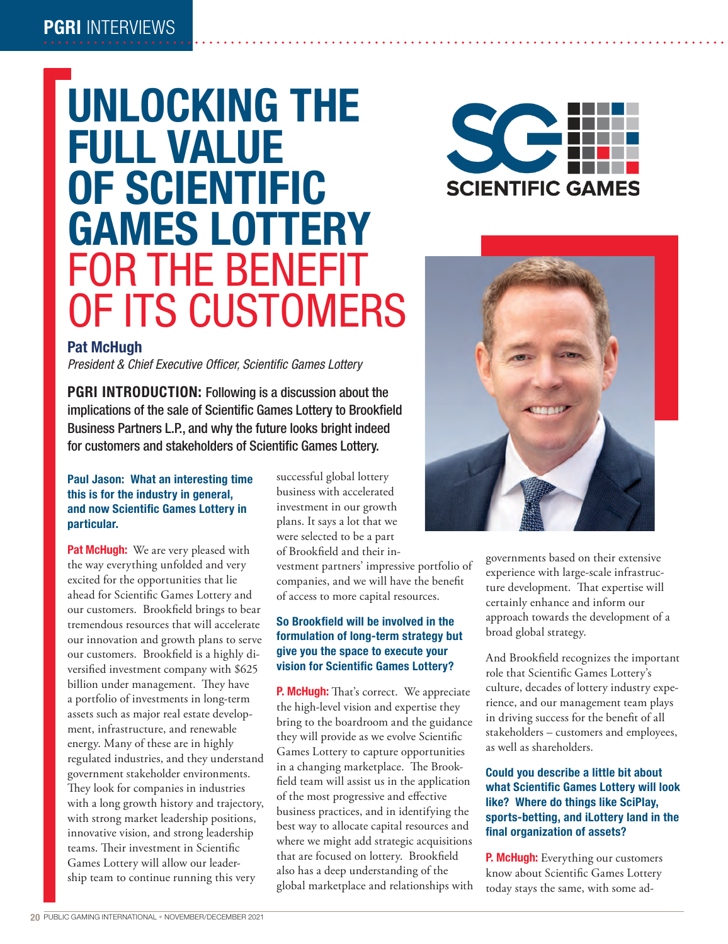## PGRI INTERVIEWS

# UNLOCKING THE FULL VALUE OF SCIENTIFIC GAMES LOTTERY FOR THE BENEFIT OF ITS CUSTOMERS





### **Pat McHugh**

*President & Chief Executive Officer, Scientific Games Lottery*

PGRI INTRODUCTION: Following is a discussion about the implications of the sale of Scientific Games Lottery to Brookfield Business Partners L.P., and why the future looks bright indeed for customers and stakeholders of Scientific Games Lottery.

#### **Paul Jason: What an interesting time this is for the industry in general, and now Scientific Games Lottery in particular.**

**Pat McHugh:** We are very pleased with the way everything unfolded and very excited for the opportunities that lie ahead for Scientific Games Lottery and our customers. Brookfield brings to bear tremendous resources that will accelerate our innovation and growth plans to serve our customers. Brookfield is a highly diversified investment company with \$625 billion under management. They have a portfolio of investments in long-term assets such as major real estate development, infrastructure, and renewable energy. Many of these are in highly regulated industries, and they understand government stakeholder environments. They look for companies in industries with a long growth history and trajectory, with strong market leadership positions, innovative vision, and strong leadership teams. Their investment in Scientific Games Lottery will allow our leadership team to continue running this very

successful global lottery business with accelerated investment in our growth plans. It says a lot that we were selected to be a part of Brookfield and their in-

vestment partners' impressive portfolio of companies, and we will have the benefit of access to more capital resources.

#### **So Brookfield will be involved in the formulation of long-term strategy but give you the space to execute your vision for Scientific Games Lottery?**

**P. McHugh:** That's correct. We appreciate the high-level vision and expertise they bring to the boardroom and the guidance they will provide as we evolve Scientific Games Lottery to capture opportunities in a changing marketplace. The Brookfield team will assist us in the application of the most progressive and effective business practices, and in identifying the best way to allocate capital resources and where we might add strategic acquisitions that are focused on lottery. Brookfield also has a deep understanding of the global marketplace and relationships with governments based on their extensive experience with large-scale infrastructure development. That expertise will certainly enhance and inform our approach towards the development of a broad global strategy.

And Brookfield recognizes the important role that Scientific Games Lottery's culture, decades of lottery industry experience, and our management team plays in driving success for the benefit of all stakeholders – customers and employees, as well as shareholders.

#### **Could you describe a little bit about what Scientific Games Lottery will look like? Where do things like SciPlay, sports-betting, and iLottery land in the final organization of assets?**

**P. McHugh:** Everything our customers know about Scientific Games Lottery today stays the same, with some ad